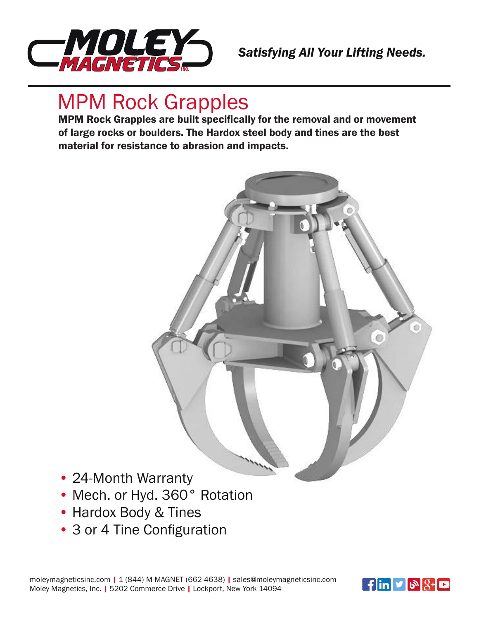

## *Satisfying All Your Lifting Needs.*

## MPM Rock Grapples

MPM Rock Grapples are built specifically for the removal and or movement **MPM** of large rocks or boulders. The Hardox steel body and tines are the best material for resistance to abrasion and impacts.



- 24-Month Warranty • Mech. or Hyd. 360° Rotation
- Hardox Body & Tines
- **Opzioni - Options - Options - Optionen** 3 or 4 Tine Configuration